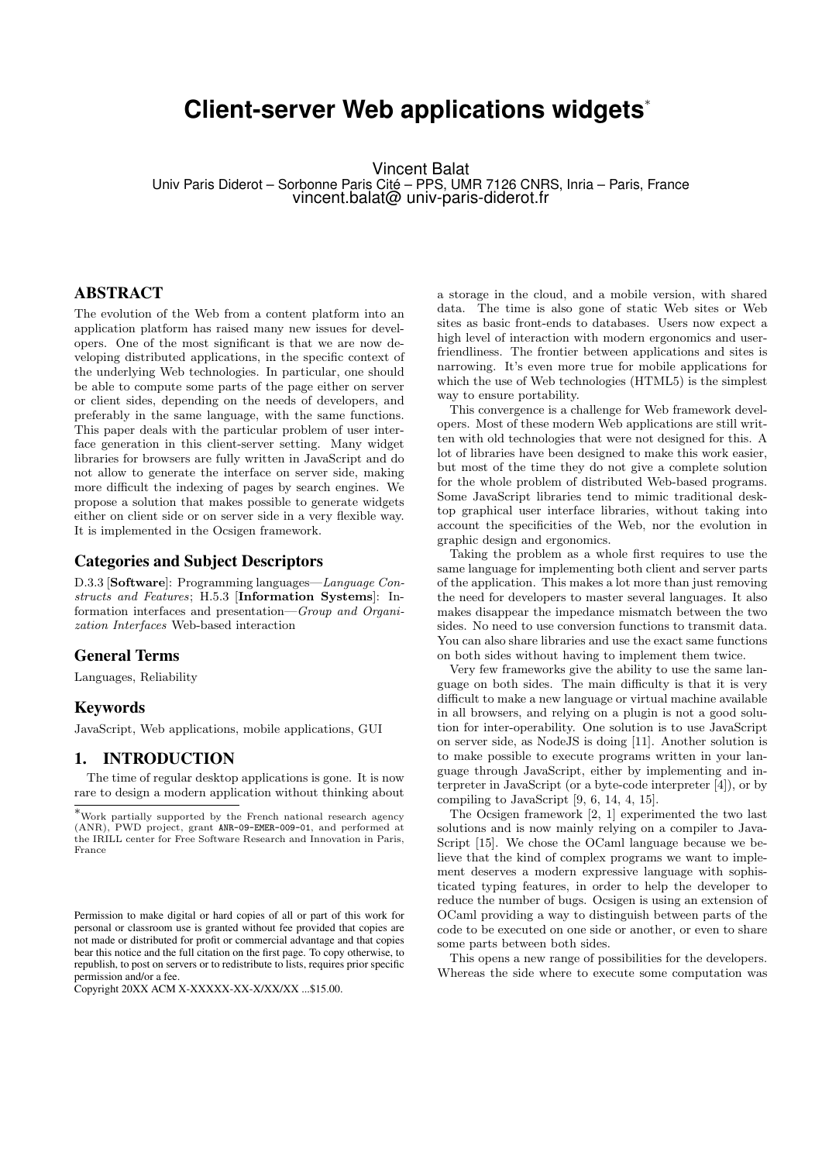# **Client-server Web applications widgets**<sup>∗</sup>

Vincent Balat Univ Paris Diderot – Sorbonne Paris Cité – PPS, UMR 7126 CNRS, Inria – Paris, France vincent.balat@ univ-paris-diderot.fr

## ABSTRACT

The evolution of the Web from a content platform into an application platform has raised many new issues for developers. One of the most significant is that we are now developing distributed applications, in the specific context of the underlying Web technologies. In particular, one should be able to compute some parts of the page either on server or client sides, depending on the needs of developers, and preferably in the same language, with the same functions. This paper deals with the particular problem of user interface generation in this client-server setting. Many widget libraries for browsers are fully written in JavaScript and do not allow to generate the interface on server side, making more difficult the indexing of pages by search engines. We propose a solution that makes possible to generate widgets either on client side or on server side in a very flexible way. It is implemented in the Ocsigen framework.

## Categories and Subject Descriptors

D.3.3 [Software]: Programming languages—Language Constructs and Features; H.5.3 [Information Systems]: Information interfaces and presentation—Group and Organization Interfaces Web-based interaction

## General Terms

Languages, Reliability

#### Keywords

JavaScript, Web applications, mobile applications, GUI

# 1. INTRODUCTION

The time of regular desktop applications is gone. It is now rare to design a modern application without thinking about

a storage in the cloud, and a mobile version, with shared data. The time is also gone of static Web sites or Web sites as basic front-ends to databases. Users now expect a high level of interaction with modern ergonomics and userfriendliness. The frontier between applications and sites is narrowing. It's even more true for mobile applications for which the use of Web technologies (HTML5) is the simplest way to ensure portability.

This convergence is a challenge for Web framework developers. Most of these modern Web applications are still written with old technologies that were not designed for this. A lot of libraries have been designed to make this work easier, but most of the time they do not give a complete solution for the whole problem of distributed Web-based programs. Some JavaScript libraries tend to mimic traditional desktop graphical user interface libraries, without taking into account the specificities of the Web, nor the evolution in graphic design and ergonomics.

Taking the problem as a whole first requires to use the same language for implementing both client and server parts of the application. This makes a lot more than just removing the need for developers to master several languages. It also makes disappear the impedance mismatch between the two sides. No need to use conversion functions to transmit data. You can also share libraries and use the exact same functions on both sides without having to implement them twice.

Very few frameworks give the ability to use the same language on both sides. The main difficulty is that it is very difficult to make a new language or virtual machine available in all browsers, and relying on a plugin is not a good solution for inter-operability. One solution is to use JavaScript on server side, as NodeJS is doing [11]. Another solution is to make possible to execute programs written in your language through JavaScript, either by implementing and interpreter in JavaScript (or a byte-code interpreter [4]), or by compiling to JavaScript [9, 6, 14, 4, 15].

The Ocsigen framework [2, 1] experimented the two last solutions and is now mainly relying on a compiler to Java-Script [15]. We chose the OCaml language because we believe that the kind of complex programs we want to implement deserves a modern expressive language with sophisticated typing features, in order to help the developer to reduce the number of bugs. Ocsigen is using an extension of OCaml providing a way to distinguish between parts of the code to be executed on one side or another, or even to share some parts between both sides.

This opens a new range of possibilities for the developers. Whereas the side where to execute some computation was

<sup>∗</sup>Work partially supported by the French national research agency (ANR), PWD project, grant ANR-09-EMER-009-01, and performed at the IRILL center for Free Software Research and Innovation in Paris, France

Permission to make digital or hard copies of all or part of this work for personal or classroom use is granted without fee provided that copies are not made or distributed for profit or commercial advantage and that copies bear this notice and the full citation on the first page. To copy otherwise, to republish, to post on servers or to redistribute to lists, requires prior specific permission and/or a fee.

Copyright 20XX ACM X-XXXXX-XX-X/XX/XX ...\$15.00.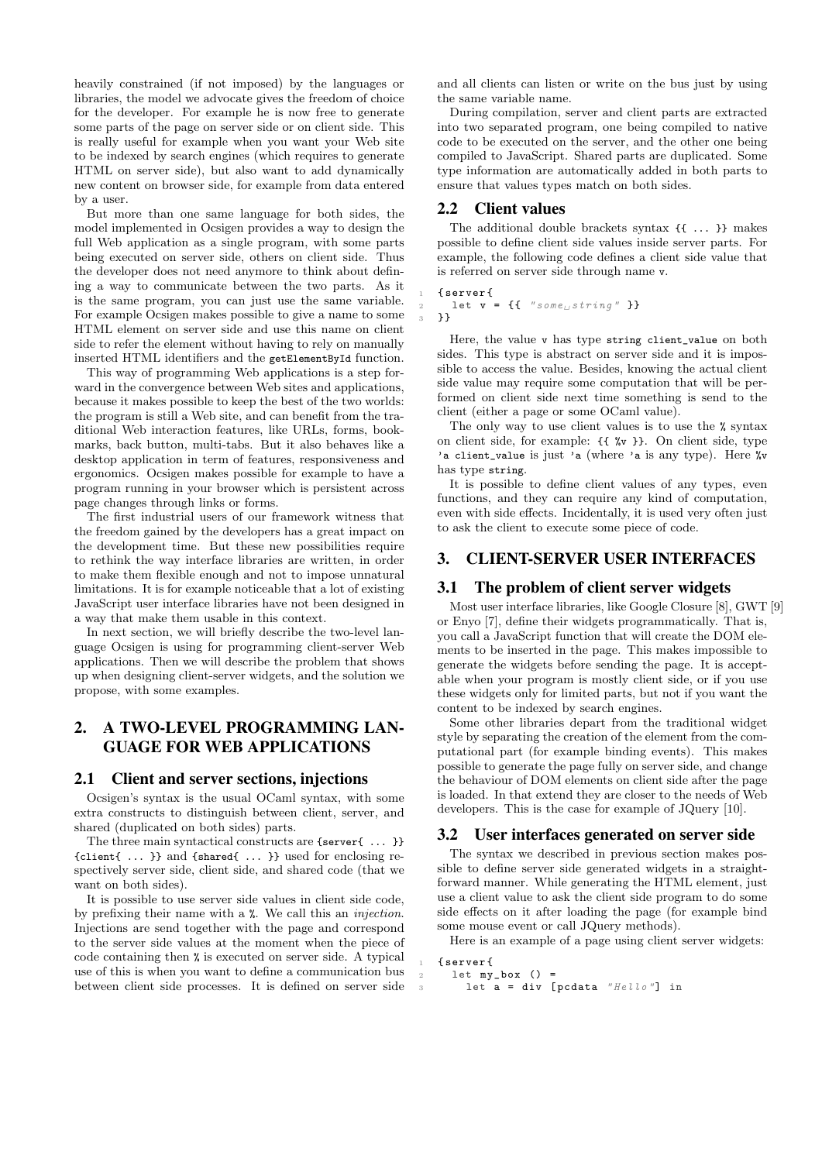heavily constrained (if not imposed) by the languages or libraries, the model we advocate gives the freedom of choice for the developer. For example he is now free to generate some parts of the page on server side or on client side. This is really useful for example when you want your Web site to be indexed by search engines (which requires to generate HTML on server side), but also want to add dynamically new content on browser side, for example from data entered by a user.

But more than one same language for both sides, the model implemented in Ocsigen provides a way to design the full Web application as a single program, with some parts being executed on server side, others on client side. Thus the developer does not need anymore to think about defining a way to communicate between the two parts. As it is the same program, you can just use the same variable. For example Ocsigen makes possible to give a name to some HTML element on server side and use this name on client side to refer the element without having to rely on manually inserted HTML identifiers and the getElementById function.

This way of programming Web applications is a step forward in the convergence between Web sites and applications, because it makes possible to keep the best of the two worlds: the program is still a Web site, and can benefit from the traditional Web interaction features, like URLs, forms, bookmarks, back button, multi-tabs. But it also behaves like a desktop application in term of features, responsiveness and ergonomics. Ocsigen makes possible for example to have a program running in your browser which is persistent across page changes through links or forms.

The first industrial users of our framework witness that the freedom gained by the developers has a great impact on the development time. But these new possibilities require to rethink the way interface libraries are written, in order to make them flexible enough and not to impose unnatural limitations. It is for example noticeable that a lot of existing JavaScript user interface libraries have not been designed in a way that make them usable in this context.

In next section, we will briefly describe the two-level language Ocsigen is using for programming client-server Web applications. Then we will describe the problem that shows up when designing client-server widgets, and the solution we propose, with some examples.

# 2. A TWO-LEVEL PROGRAMMING LAN-GUAGE FOR WEB APPLICATIONS

#### 2.1 Client and server sections, injections

Ocsigen's syntax is the usual OCaml syntax, with some extra constructs to distinguish between client, server, and shared (duplicated on both sides) parts.

The three main syntactical constructs are {server{ ... }} {client{ ... }} and {shared{ ... }} used for enclosing respectively server side, client side, and shared code (that we want on both sides).

It is possible to use server side values in client side code, by prefixing their name with a %. We call this an injection. Injections are send together with the page and correspond to the server side values at the moment when the piece of code containing then % is executed on server side. A typical use of this is when you want to define a communication bus between client side processes. It is defined on server side

and all clients can listen or write on the bus just by using the same variable name.

During compilation, server and client parts are extracted into two separated program, one being compiled to native code to be executed on the server, and the other one being compiled to JavaScript. Shared parts are duplicated. Some type information are automatically added in both parts to ensure that values types match on both sides.

## 2.2 Client values

The additional double brackets syntax {{ ... }} makes possible to define client side values inside server parts. For example, the following code defines a client side value that is referred on server side through name v.

```
1 { server {
    let v = \{ \{ \text{ "some} \text{ is } t \text{ ring } \text{ " } \} \}3 }}
```
Here, the value v has type string client\_value on both sides. This type is abstract on server side and it is impossible to access the value. Besides, knowing the actual client side value may require some computation that will be performed on client side next time something is send to the client (either a page or some OCaml value).

The only way to use client values is to use the % syntax on client side, for example: {{ %v }}. On client side, type 'a client\_value is just 'a (where 'a is any type). Here %v has type string.

It is possible to define client values of any types, even functions, and they can require any kind of computation, even with side effects. Incidentally, it is used very often just to ask the client to execute some piece of code.

# 3. CLIENT-SERVER USER INTERFACES

## 3.1 The problem of client server widgets

Most user interface libraries, like Google Closure [8], GWT [9] or Enyo [7], define their widgets programmatically. That is, you call a JavaScript function that will create the DOM elements to be inserted in the page. This makes impossible to generate the widgets before sending the page. It is acceptable when your program is mostly client side, or if you use these widgets only for limited parts, but not if you want the content to be indexed by search engines.

Some other libraries depart from the traditional widget style by separating the creation of the element from the computational part (for example binding events). This makes possible to generate the page fully on server side, and change the behaviour of DOM elements on client side after the page is loaded. In that extend they are closer to the needs of Web developers. This is the case for example of JQuery [10].

## 3.2 User interfaces generated on server side

The syntax we described in previous section makes possible to define server side generated widgets in a straightforward manner. While generating the HTML element, just use a client value to ask the client side program to do some side effects on it after loading the page (for example bind some mouse event or call JQuery methods).

Here is an example of a page using client server widgets:

```
1 { server {
  let my-box () =let a = div [pcdata "Hello"] in
```